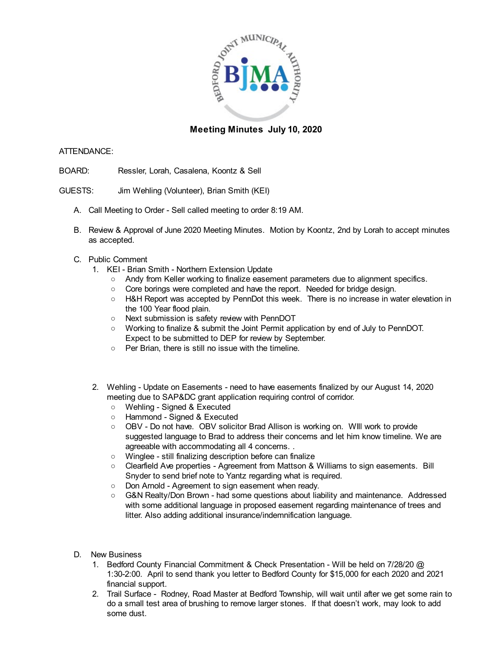

## **Meeting Minutes July 10, 2020**

## ATTENDANCE:

- BOARD: Ressler, Lorah, Casalena, Koontz & Sell
- GUESTS: Jim Wehling (Volunteer), Brian Smith (KEI)
	- A. Call Meeting to Order Sell called meeting to order 8:19 AM.
	- B. Review & Approval of June 2020 Meeting Minutes. Motion by Koontz, 2nd by Lorah to accept minutes as accepted.
	- C. Public Comment
		- 1. KEI Brian Smith Northern Extension Update
			- Andy from Keller working to finalize easement parameters due to alignment specifics.
			- Core borings were completed and have the report. Needed for bridge design.
			- H&H Report was accepted by PennDot this week. There is no increase in water elevation in the 100 Year flood plain.
			- Next submission is safety review with PennDOT
			- Working to finalize & submit the Joint Permit application by end of July to PennDOT. Expect to be submitted to DEP for review by September.
			- Per Brian, there is still no issue with the timeline.
		- 2. Wehling Update on Easements need to have easements finalized by our August 14, 2020 meeting due to SAP&DC grant application requiring control of corridor.
			- Wehling Signed & Executed
			- Hammond Signed & Executed
			- OBV Do not have. OBV solicitor Brad Allison is working on. WIII work to provide suggested language to Brad to address their concerns and let him know timeline. We are agreeable with accommodating all 4 concerns. .
			- Winglee still finalizing description before can finalize
			- Clearfield Ave properties Agreement from Mattson & Williams to sign easements. Bill Snyder to send brief note to Yantz regarding what is required.
			- Don Arnold Agreement to sign easement when ready.
			- G&N Realty/Don Brown had some questions about liability and maintenance. Addressed with some additional language in proposed easement regarding maintenance of trees and litter. Also adding additional insurance/indemnification language.
	- D. New Business
		- 1. Bedford County Financial Commitment & Check Presentation Will be held on 7/28/20 @ 1:30-2:00. April to send thank you letter to Bedford County for \$15,000 for each 2020 and 2021 financial support.
		- 2. Trail Surface Rodney, Road Master at Bedford Township, will wait until after we get some rain to do a small test area of brushing to remove larger stones. If that doesn't work, may look to add some dust.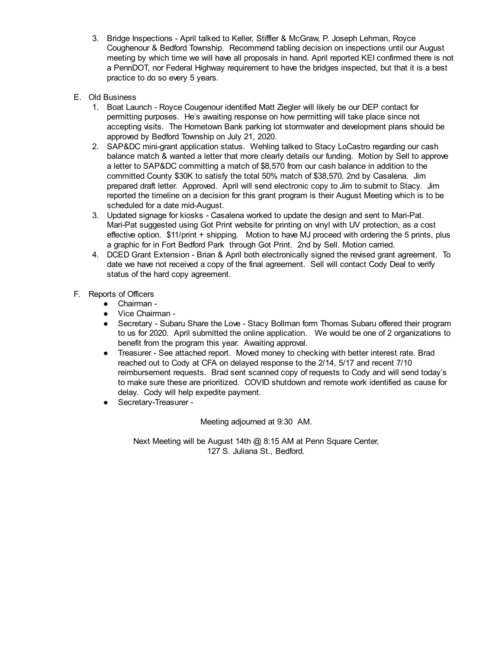- 3. Bridge Inspections April talked to Keller, Stiffler & McGraw, P. Joseph Lehman, Royce Coughenour & Bedford Township. Recommend tabling decision on inspections until our August meeting by which time we will have all proposals in hand. April reported KEI confirmed there is not a PennDOT, nor Federal Highway requirement to have the bridges inspected, but that it is a best practice to do so every 5 years.
- E. Old Business
	- 1. Boat Launch Royce Cougenour identified Matt Ziegler will likely be our DEP contact for permitting purposes. He's awaiting response on how permitting will take place since not accepting visits. The Hometown Bank parking lot stormwater and development plans should be approved by Bedford Township on July 21, 2020.
	- 2. SAP&DC mini-grant application status. Wehling talked to Stacy LoCastro regarding our cash balance match & wanted a letter that more clearly details our funding. Motion by Sell to approve a letter to SAP&DC committing a match of \$8,570 from our cash balance in addition to the committed County \$30K to satisfy the total 50% match of \$38,570. 2nd by Casalena. Jim prepared draft letter. Approved. April will send electronic copy to Jim to submit to Stacy. Jim reported the timeline on a decision for this grant program is their August Meeting which is to be scheduled for a date mid-August.
	- 3. Updated signage for kiosks Casalena worked to update the design and sent to Mari-Pat. Mari-Pat suggested using Got Print website for printing on vinyl with UV protection, as a cost effective option. \$11/print + shipping. Motion to have MJ proceed with ordering the 5 prints, plus a graphic for in Fort Bedford Park through Got Print. 2nd by Sell. Motion carried.
	- 4. DCED Grant Extension Brian & April both electronically signed the revised grant agreement. To date we have not received a copy of the final agreement. Sell will contact Cody Deal to verify status of the hard copy agreement.
- F. Reports of Officers
	- Chairman -
	- Vice Chairman -
	- Secretary Subaru Share the Love Stacy Bollman form Thomas Subaru offered their program to us for 2020. April submitted the online application. We would be one of 2 organizations to benefit from the program this year. Awaiting approval.
	- Treasurer See attached report. Moved money to checking with better interest rate. Brad reached out to Cody at CFA on delayed response to the 2/14, 5/17 and recent 7/10 reimbursement requests. Brad sent scanned copy of requests to Cody and will send today's to make sure these are prioritized. COVID shutdown and remote work identified as cause for delay. Cody will help expedite payment.
	- Secretary-Treasurer -

Meeting adjourned at 9:30 AM.

Next Meeting will be August 14th @ 8:15 AM at Penn Square Center, 127 S. Juliana St., Bedford.